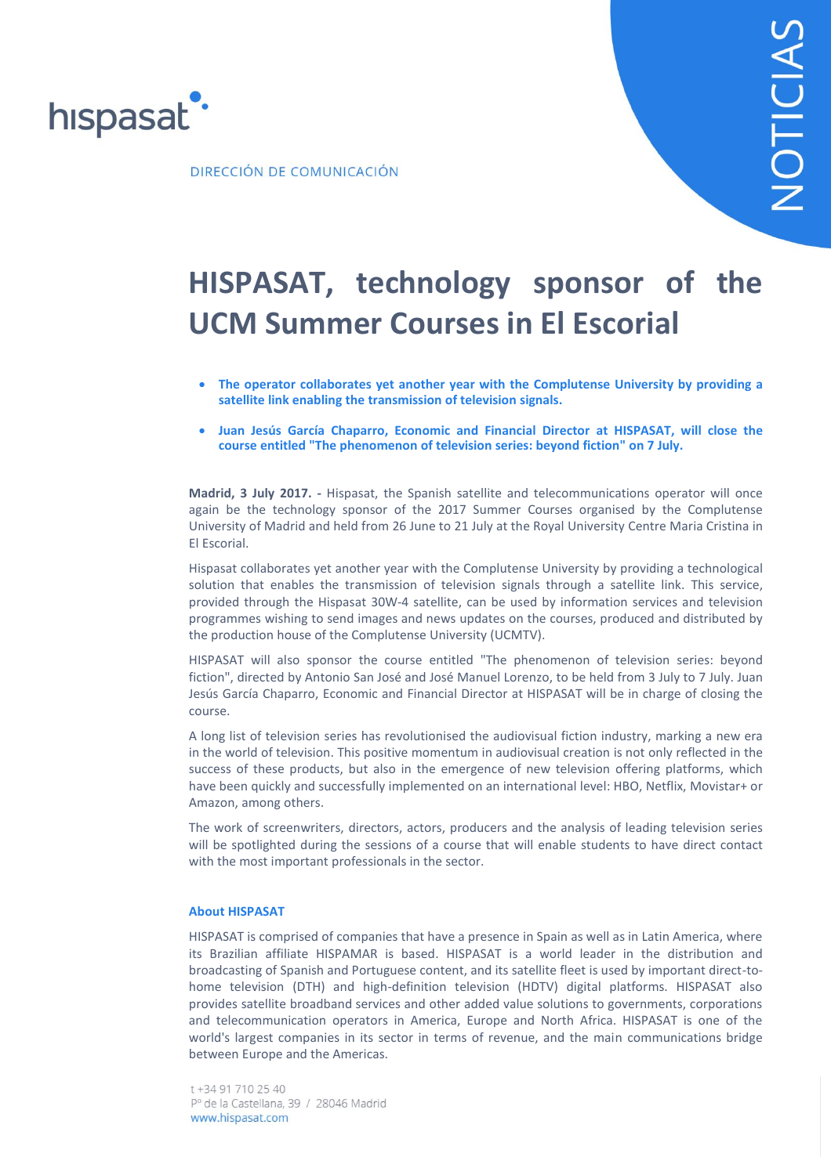

DIRECCIÓN DE COMUNICACIÓN

## **HISPASAT, technology sponsor of the UCM Summer Courses in El Escorial**

- **The operator collaborates yet another year with the Complutense University by providing a satellite link enabling the transmission of television signals.**
- **Juan Jesús García Chaparro, Economic and Financial Director at HISPASAT, will close the course entitled "The phenomenon of television series: beyond fiction" on 7 July.**

**Madrid, 3 July 2017. -** Hispasat, the Spanish satellite and telecommunications operator will once again be the technology sponsor of the 2017 Summer Courses organised by the Complutense University of Madrid and held from 26 June to 21 July at the Royal University Centre Maria Cristina in El Escorial.

Hispasat collaborates yet another year with the Complutense University by providing a technological solution that enables the transmission of television signals through a satellite link. This service, provided through the Hispasat 30W-4 satellite, can be used by information services and television programmes wishing to send images and news updates on the courses, produced and distributed by the production house of the Complutense University (UCMTV).

HISPASAT will also sponsor the course entitled "The phenomenon of television series: beyond fiction", directed by Antonio San José and José Manuel Lorenzo, to be held from 3 July to 7 July. Juan Jesús García Chaparro, Economic and Financial Director at HISPASAT will be in charge of closing the course.

A long list of television series has revolutionised the audiovisual fiction industry, marking a new era in the world of television. This positive momentum in audiovisual creation is not only reflected in the success of these products, but also in the emergence of new television offering platforms, which have been quickly and successfully implemented on an international level: HBO, Netflix, Movistar+ or Amazon, among others.

The work of screenwriters, directors, actors, producers and the analysis of leading television series will be spotlighted during the sessions of a course that will enable students to have direct contact with the most important professionals in the sector.

## **About HISPASAT**

HISPASAT is comprised of companies that have a presence in Spain as well as in Latin America, where its Brazilian affiliate HISPAMAR is based. HISPASAT is a world leader in the distribution and broadcasting of Spanish and Portuguese content, and its satellite fleet is used by important direct-tohome television (DTH) and high-definition television (HDTV) digital platforms. HISPASAT also provides satellite broadband services and other added value solutions to governments, corporations and telecommunication operators in America, Europe and North Africa. HISPASAT is one of the world's largest companies in its sector in terms of revenue, and the main communications bridge between Europe and the Americas.

t +34 91 710 25 40 Pº de la Castellana, 39 / 28046 Madrid www.hispasat.com